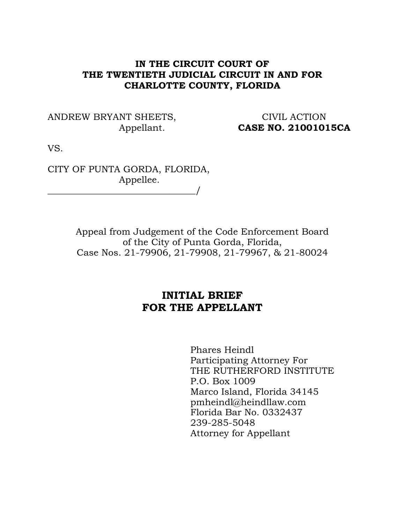## **IN THE CIRCUIT COURT OF THE TWENTIETH JUDICIAL CIRCUIT IN AND FOR CHARLOTTE COUNTY, FLORIDA**

ANDREW BRYANT SHEETS, CIVIL ACTION

Appellant. **CASE NO. 21001015CA**

VS.

CITY OF PUNTA GORDA, FLORIDA, Appellee. \_\_\_\_\_\_\_\_\_\_\_\_\_\_\_\_\_\_\_\_\_\_\_\_\_\_\_\_\_\_\_\_/

> Appeal from Judgement of the Code Enforcement Board of the City of Punta Gorda, Florida, Case Nos. 21-79906, 21-79908, 21-79967, & 21-80024

## **INITIAL BRIEF FOR THE APPELLANT**

Phares Heindl Participating Attorney For THE RUTHERFORD INSTITUTE P.O. Box 1009 Marco Island, Florida 34145 pmheindl@heindllaw.com Florida Bar No. 0332437 239-285-5048 Attorney for Appellant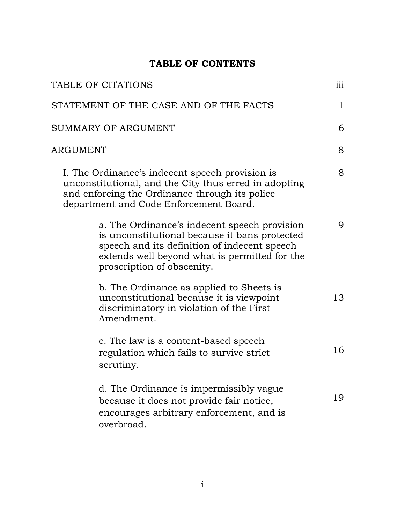# **TABLE OF CONTENTS**

| TABLE OF CITATIONS                                                                                                                                                                                   |                                                                                                                                                                                                                              |             |
|------------------------------------------------------------------------------------------------------------------------------------------------------------------------------------------------------|------------------------------------------------------------------------------------------------------------------------------------------------------------------------------------------------------------------------------|-------------|
|                                                                                                                                                                                                      | STATEMENT OF THE CASE AND OF THE FACTS                                                                                                                                                                                       | $\mathbf 1$ |
| SUMMARY OF ARGUMENT                                                                                                                                                                                  |                                                                                                                                                                                                                              |             |
| ARGUMENT                                                                                                                                                                                             |                                                                                                                                                                                                                              |             |
| I. The Ordinance's indecent speech provision is<br>unconstitutional, and the City thus erred in adopting<br>and enforcing the Ordinance through its police<br>department and Code Enforcement Board. |                                                                                                                                                                                                                              | 8           |
|                                                                                                                                                                                                      | a. The Ordinance's indecent speech provision<br>is unconstitutional because it bans protected<br>speech and its definition of indecent speech<br>extends well beyond what is permitted for the<br>proscription of obscenity. | 9           |
|                                                                                                                                                                                                      | b. The Ordinance as applied to Sheets is<br>unconstitutional because it is viewpoint<br>discriminatory in violation of the First<br>Amendment.                                                                               | 13          |
|                                                                                                                                                                                                      | c. The law is a content-based speech<br>regulation which fails to survive strict<br>scrutiny.                                                                                                                                | 16          |
|                                                                                                                                                                                                      | d. The Ordinance is impermissibly vague<br>because it does not provide fair notice,<br>encourages arbitrary enforcement, and is<br>overbroad.                                                                                | 19          |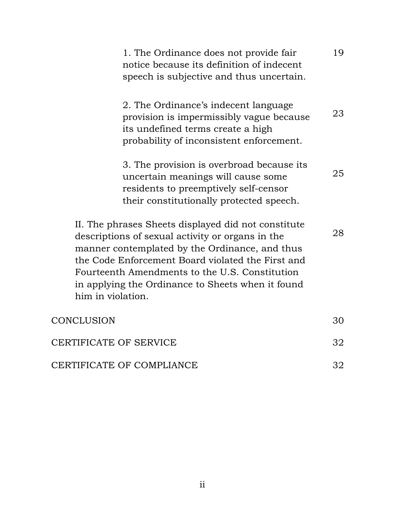| 1. The Ordinance does not provide fair<br>notice because its definition of indecent<br>speech is subjective and thus uncertain.                                                                                                                                                                                                            | 19 |
|--------------------------------------------------------------------------------------------------------------------------------------------------------------------------------------------------------------------------------------------------------------------------------------------------------------------------------------------|----|
| 2. The Ordinance's indecent language<br>provision is impermissibly vague because<br>its undefined terms create a high<br>probability of inconsistent enforcement.                                                                                                                                                                          | 23 |
| 3. The provision is overbroad because its<br>uncertain meanings will cause some<br>residents to preemptively self-censor<br>their constitutionally protected speech.                                                                                                                                                                       | 25 |
| II. The phrases Sheets displayed did not constitute<br>descriptions of sexual activity or organs in the<br>manner contemplated by the Ordinance, and thus<br>the Code Enforcement Board violated the First and<br>Fourteenth Amendments to the U.S. Constitution<br>in applying the Ordinance to Sheets when it found<br>him in violation. | 28 |
| CONCLUSION                                                                                                                                                                                                                                                                                                                                 | 30 |
| CERTIFICATE OF SERVICE                                                                                                                                                                                                                                                                                                                     |    |
| CERTIFICATE OF COMPLIANCE                                                                                                                                                                                                                                                                                                                  | 32 |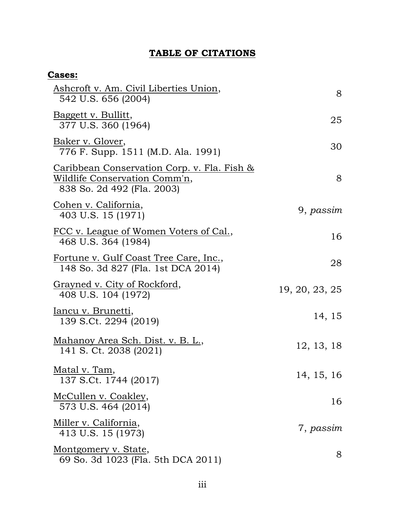## **TABLE OF CITATIONS**

| <b>Cases:</b>                                                                                                         |                |
|-----------------------------------------------------------------------------------------------------------------------|----------------|
| Ashcroft v. Am. Civil Liberties Union,<br>542 U.S. 656 (2004)                                                         | 8              |
| Baggett v. Bullitt,<br>377 U.S. 360 (1964)                                                                            | 25             |
| Baker v. Glover,<br>776 F. Supp. 1511 (M.D. Ala. 1991)                                                                | 30             |
| <u>Caribbean Conservation Corp. v. Fla. Fish &amp;</u><br>Wildlife Conservation Comm'n,<br>838 So. 2d 492 (Fla. 2003) | 8              |
| <u>Cohen v. California,</u><br>403 U.S. 15 (1971)                                                                     | 9, passim      |
| <u>FCC v. League of Women Voters of Cal.</u> ,<br>468 U.S. 364 (1984)                                                 | 16             |
| Fortune v. Gulf Coast Tree Care, Inc.,<br>148 So. 3d 827 (Fla. 1st DCA 2014)                                          | 28             |
| <u>Grayned v. City of Rockford,</u><br>408 U.S. 104 (1972)                                                            | 19, 20, 23, 25 |
| Iancu v. Brunetti,<br>139 S.Ct. 2294 (2019)                                                                           | 14, 15         |
| Mahanoy Area Sch. Dist. v. B. L.,<br>141 S. Ct. 2038 (2021)                                                           | 12, 13, 18     |
| Matal v. Tam,<br>137 S.Ct. 1744 (2017)                                                                                | 14, 15, 16     |
| <u>McCullen v. Coakley,</u><br>573 U.S. 464 (2014)                                                                    | 16             |
| Miller v. California,<br>413 U.S. 15 (1973)                                                                           | 7, passim      |
| Montgomery v. State,<br>69 So. 3d 1023 (Fla. 5th DCA 2011)                                                            | 8              |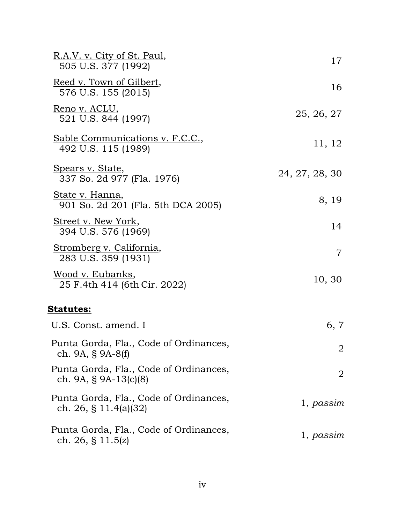| <u>R.A.V. v. City of St. Paul,</u><br>505 U.S. 377 (1992)          | 17             |
|--------------------------------------------------------------------|----------------|
| <u>Reed v. Town of Gilbert,</u><br>576 U.S. 155 (2015)             | 16             |
| <u>Reno v. ACLU,</u><br>521 U.S. 844 (1997)                        | 25, 26, 27     |
| Sable Communications v. F.C.C.,<br>492 U.S. 115 (1989)             | 11, 12         |
| <u>Spears v. State</u> ,<br>337 So. 2d 977 (Fla. 1976)             | 24, 27, 28, 30 |
| State v. Hanna,<br>901 So. 2d 201 (Fla. 5th DCA 2005)              | 8, 19          |
| <u>Street v. New York,</u><br>394 U.S. 576 (1969)                  | 14             |
| <u>Stromberg v. California,</u><br>283 U.S. 359 (1931)             | $\overline{7}$ |
| <u> Wood v. Eubanks,</u><br>25 F.4th 414 (6th Cir. 2022)           | 10, 30         |
| <u>Statutes:</u>                                                   |                |
| U.S. Const. amend. I                                               | 6, 7           |
| Punta Gorda, Fla., Code of Ordinances,<br>ch. 9A, $\S$ 9A-8(f)     | $\overline{2}$ |
| Punta Gorda, Fla., Code of Ordinances,<br>ch. 9A, $\S$ 9A-13(c)(8) | $\overline{2}$ |
| Punta Gorda, Fla., Code of Ordinances,<br>ch. 26, § 11.4(a)(32)    | 1, passim      |
| Punta Gorda, Fla., Code of Ordinances,<br>ch. 26, § 11.5 $(z)$     | 1, passim      |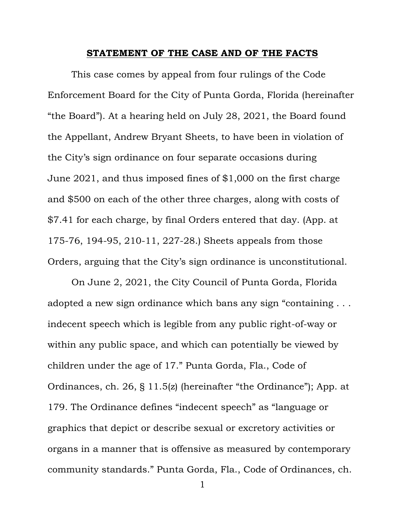#### **STATEMENT OF THE CASE AND OF THE FACTS**

This case comes by appeal from four rulings of the Code Enforcement Board for the City of Punta Gorda, Florida (hereinafter "the Board"). At a hearing held on July 28, 2021, the Board found the Appellant, Andrew Bryant Sheets, to have been in violation of the City's sign ordinance on four separate occasions during June 2021, and thus imposed fines of \$1,000 on the first charge and \$500 on each of the other three charges, along with costs of \$7.41 for each charge, by final Orders entered that day. (App. at 175-76, 194-95, 210-11, 227-28.) Sheets appeals from those Orders, arguing that the City's sign ordinance is unconstitutional.

On June 2, 2021, the City Council of Punta Gorda, Florida adopted a new sign ordinance which bans any sign "containing . . . indecent speech which is legible from any public right-of-way or within any public space, and which can potentially be viewed by children under the age of 17." Punta Gorda, Fla., Code of Ordinances, ch. 26, § 11.5(z) (hereinafter "the Ordinance"); App. at 179. The Ordinance defines "indecent speech" as "language or graphics that depict or describe sexual or excretory activities or organs in a manner that is offensive as measured by contemporary community standards." Punta Gorda, Fla., Code of Ordinances, ch.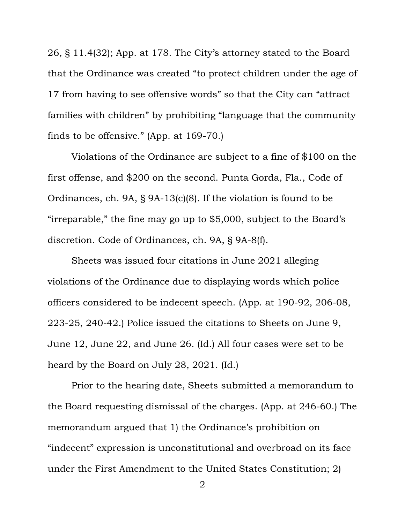26, § 11.4(32); App. at 178. The City's attorney stated to the Board that the Ordinance was created "to protect children under the age of 17 from having to see offensive words" so that the City can "attract families with children" by prohibiting "language that the community finds to be offensive." (App. at 169-70.)

Violations of the Ordinance are subject to a fine of \$100 on the first offense, and \$200 on the second. Punta Gorda, Fla., Code of Ordinances, ch. 9A, § 9A-13(c)(8). If the violation is found to be "irreparable," the fine may go up to \$5,000, subject to the Board's discretion. Code of Ordinances, ch. 9A, § 9A-8(f).

Sheets was issued four citations in June 2021 alleging violations of the Ordinance due to displaying words which police officers considered to be indecent speech. (App. at 190-92, 206-08, 223-25, 240-42.) Police issued the citations to Sheets on June 9, June 12, June 22, and June 26. (Id.) All four cases were set to be heard by the Board on July 28, 2021. (Id.)

Prior to the hearing date, Sheets submitted a memorandum to the Board requesting dismissal of the charges. (App. at 246-60.) The memorandum argued that 1) the Ordinance's prohibition on "indecent" expression is unconstitutional and overbroad on its face under the First Amendment to the United States Constitution; 2)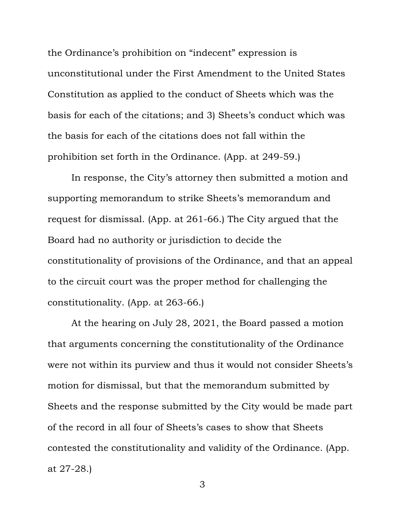the Ordinance's prohibition on "indecent" expression is unconstitutional under the First Amendment to the United States Constitution as applied to the conduct of Sheets which was the basis for each of the citations; and 3) Sheets's conduct which was the basis for each of the citations does not fall within the prohibition set forth in the Ordinance. (App. at 249-59.)

In response, the City's attorney then submitted a motion and supporting memorandum to strike Sheets's memorandum and request for dismissal. (App. at 261-66.) The City argued that the Board had no authority or jurisdiction to decide the constitutionality of provisions of the Ordinance, and that an appeal to the circuit court was the proper method for challenging the constitutionality. (App. at 263-66.)

At the hearing on July 28, 2021, the Board passed a motion that arguments concerning the constitutionality of the Ordinance were not within its purview and thus it would not consider Sheets's motion for dismissal, but that the memorandum submitted by Sheets and the response submitted by the City would be made part of the record in all four of Sheets's cases to show that Sheets contested the constitutionality and validity of the Ordinance. (App. at 27-28.)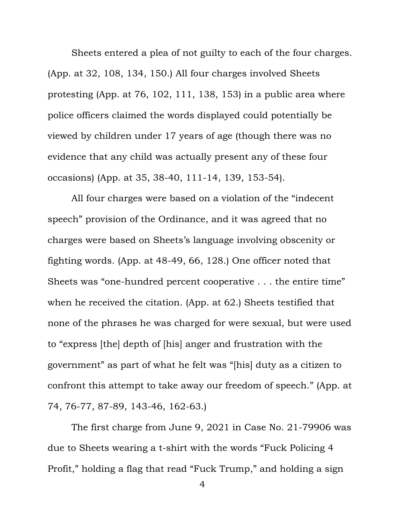Sheets entered a plea of not guilty to each of the four charges. (App. at 32, 108, 134, 150.) All four charges involved Sheets protesting (App. at 76, 102, 111, 138, 153) in a public area where police officers claimed the words displayed could potentially be viewed by children under 17 years of age (though there was no evidence that any child was actually present any of these four occasions) (App. at 35, 38-40, 111-14, 139, 153-54).

All four charges were based on a violation of the "indecent speech" provision of the Ordinance, and it was agreed that no charges were based on Sheets's language involving obscenity or fighting words. (App. at 48-49, 66, 128.) One officer noted that Sheets was "one-hundred percent cooperative . . . the entire time" when he received the citation. (App. at 62.) Sheets testified that none of the phrases he was charged for were sexual, but were used to "express [the] depth of [his] anger and frustration with the government" as part of what he felt was "[his] duty as a citizen to confront this attempt to take away our freedom of speech." (App. at 74, 76-77, 87-89, 143-46, 162-63.)

The first charge from June 9, 2021 in Case No. 21-79906 was due to Sheets wearing a t-shirt with the words "Fuck Policing 4 Profit," holding a flag that read "Fuck Trump," and holding a sign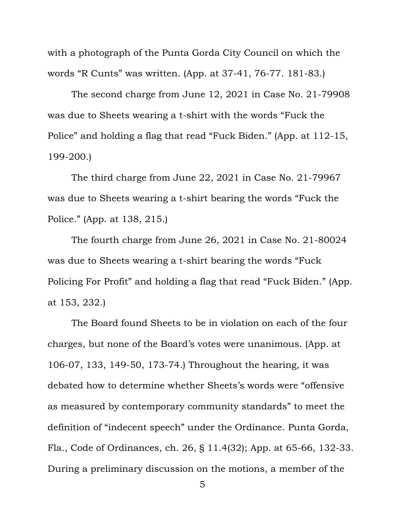with a photograph of the Punta Gorda City Council on which the words "R Cunts" was written. (App. at 37-41, 76-77. 181-83.)

The second charge from June 12, 2021 in Case No. 21-79908 was due to Sheets wearing a t-shirt with the words "Fuck the Police" and holding a flag that read "Fuck Biden." (App. at 112-15, 199-200.)

The third charge from June 22, 2021 in Case No. 21-79967 was due to Sheets wearing a t-shirt bearing the words "Fuck the Police." (App. at 138, 215.)

The fourth charge from June 26, 2021 in Case No. 21-80024 was due to Sheets wearing a t-shirt bearing the words "Fuck Policing For Profit" and holding a flag that read "Fuck Biden." (App. at 153, 232.)

The Board found Sheets to be in violation on each of the four charges, but none of the Board's votes were unanimous. (App. at 106-07, 133, 149-50, 173-74.) Throughout the hearing, it was debated how to determine whether Sheets's words were "offensive as measured by contemporary community standards" to meet the definition of "indecent speech" under the Ordinance. Punta Gorda, Fla., Code of Ordinances, ch. 26, § 11.4(32); App. at 65-66, 132-33. During a preliminary discussion on the motions, a member of the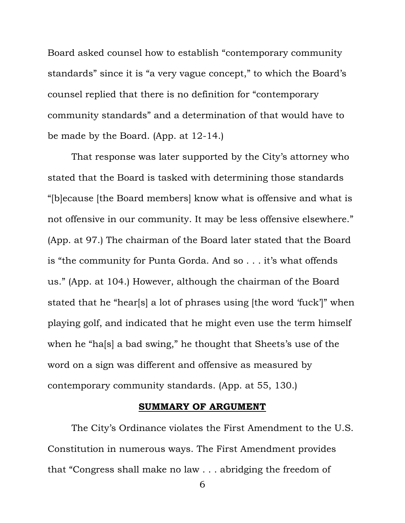Board asked counsel how to establish "contemporary community standards" since it is "a very vague concept," to which the Board's counsel replied that there is no definition for "contemporary community standards" and a determination of that would have to be made by the Board. (App. at 12-14.)

That response was later supported by the City's attorney who stated that the Board is tasked with determining those standards "[b]ecause [the Board members] know what is offensive and what is not offensive in our community. It may be less offensive elsewhere." (App. at 97.) The chairman of the Board later stated that the Board is "the community for Punta Gorda. And so . . . it's what offends us." (App. at 104.) However, although the chairman of the Board stated that he "hear[s] a lot of phrases using [the word 'fuck']" when playing golf, and indicated that he might even use the term himself when he "ha[s] a bad swing," he thought that Sheets's use of the word on a sign was different and offensive as measured by contemporary community standards. (App. at 55, 130.)

#### **SUMMARY OF ARGUMENT**

The City's Ordinance violates the First Amendment to the U.S. Constitution in numerous ways. The First Amendment provides that "Congress shall make no law . . . abridging the freedom of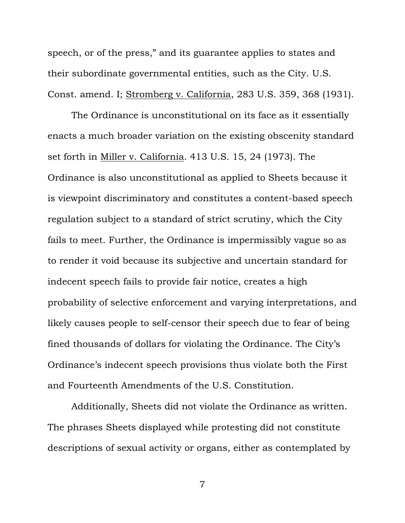speech, or of the press," and its guarantee applies to states and their subordinate governmental entities, such as the City. U.S. Const. amend. I; Stromberg v. California, 283 U.S. 359, 368 (1931).

The Ordinance is unconstitutional on its face as it essentially enacts a much broader variation on the existing obscenity standard set forth in Miller v. California. 413 U.S. 15, 24 (1973). The Ordinance is also unconstitutional as applied to Sheets because it is viewpoint discriminatory and constitutes a content-based speech regulation subject to a standard of strict scrutiny, which the City fails to meet. Further, the Ordinance is impermissibly vague so as to render it void because its subjective and uncertain standard for indecent speech fails to provide fair notice, creates a high probability of selective enforcement and varying interpretations, and likely causes people to self-censor their speech due to fear of being fined thousands of dollars for violating the Ordinance. The City's Ordinance's indecent speech provisions thus violate both the First and Fourteenth Amendments of the U.S. Constitution.

Additionally, Sheets did not violate the Ordinance as written. The phrases Sheets displayed while protesting did not constitute descriptions of sexual activity or organs, either as contemplated by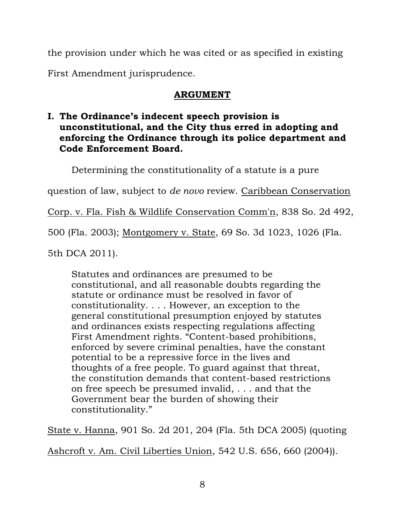the provision under which he was cited or as specified in existing First Amendment jurisprudence.

## **ARGUMENT**

## **I. The Ordinance's indecent speech provision is unconstitutional, and the City thus erred in adopting and enforcing the Ordinance through its police department and Code Enforcement Board.**

Determining the constitutionality of a statute is a pure

question of law, subject to *de novo* review. Caribbean Conservation

Corp. v. Fla. Fish & Wildlife Conservation Comm'n, 838 So. 2d 492,

500 (Fla. 2003); Montgomery v. State, 69 So. 3d 1023, 1026 (Fla.

5th DCA 2011).

Statutes and ordinances are presumed to be constitutional, and all reasonable doubts regarding the statute or ordinance must be resolved in favor of constitutionality. . . . However, an exception to the general constitutional presumption enjoyed by statutes and ordinances exists respecting regulations affecting First Amendment rights. "Content-based prohibitions, enforced by severe criminal penalties, have the constant potential to be a repressive force in the lives and thoughts of a free people. To guard against that threat, the constitution demands that content-based restrictions on free speech be presumed invalid, . . . and that the Government bear the burden of showing their constitutionality."

State v. Hanna, 901 So. 2d 201, 204 (Fla. 5th DCA 2005) (quoting

Ashcroft v. Am. Civil Liberties Union, 542 U.S. 656, 660 (2004)).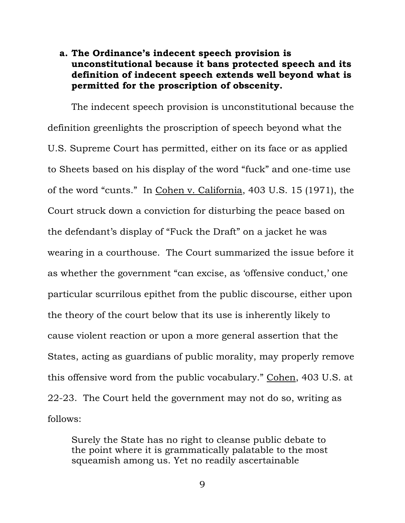## **a. The Ordinance's indecent speech provision is unconstitutional because it bans protected speech and its definition of indecent speech extends well beyond what is permitted for the proscription of obscenity.**

The indecent speech provision is unconstitutional because the definition greenlights the proscription of speech beyond what the U.S. Supreme Court has permitted, either on its face or as applied to Sheets based on his display of the word "fuck" and one-time use of the word "cunts." In Cohen v. California, 403 U.S. 15 (1971), the Court struck down a conviction for disturbing the peace based on the defendant's display of "Fuck the Draft" on a jacket he was wearing in a courthouse. The Court summarized the issue before it as whether the government "can excise, as 'offensive conduct,' one particular scurrilous epithet from the public discourse, either upon the theory of the court below that its use is inherently likely to cause violent reaction or upon a more general assertion that the States, acting as guardians of public morality, may properly remove this offensive word from the public vocabulary." Cohen, 403 U.S. at 22-23. The Court held the government may not do so, writing as follows:

Surely the State has no right to cleanse public debate to the point where it is grammatically palatable to the most squeamish among us. Yet no readily ascertainable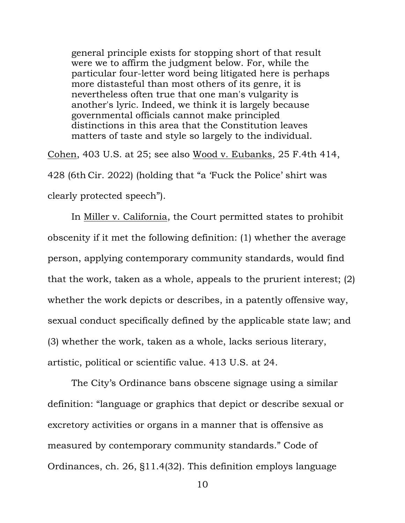general principle exists for stopping short of that result were we to affirm the judgment below. For, while the particular four-letter word being litigated here is perhaps more distasteful than most others of its genre, it is nevertheless often true that one man's vulgarity is another's lyric. Indeed, we think it is largely because governmental officials cannot make principled distinctions in this area that the Constitution leaves matters of taste and style so largely to the individual.

Cohen, 403 U.S. at 25; see also Wood v. Eubanks, 25 F.4th 414, 428 (6th Cir. 2022) (holding that "a 'Fuck the Police' shirt was clearly protected speech").

In Miller v. California, the Court permitted states to prohibit obscenity if it met the following definition: (1) whether the average person, applying contemporary community standards, would find that the work, taken as a whole, appeals to the prurient interest; (2) whether the work depicts or describes, in a patently offensive way, sexual conduct specifically defined by the applicable state law; and (3) whether the work, taken as a whole, lacks serious literary, artistic, political or scientific value. 413 U.S. at 24.

The City's Ordinance bans obscene signage using a similar definition: "language or graphics that depict or describe sexual or excretory activities or organs in a manner that is offensive as measured by contemporary community standards." Code of Ordinances, ch. 26, §11.4(32). This definition employs language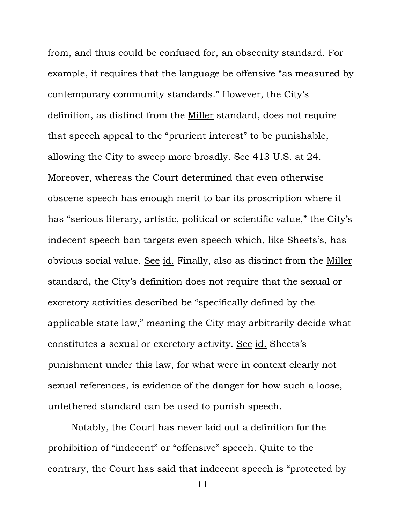from, and thus could be confused for, an obscenity standard. For example, it requires that the language be offensive "as measured by contemporary community standards." However, the City's definition, as distinct from the Miller standard, does not require that speech appeal to the "prurient interest" to be punishable, allowing the City to sweep more broadly. See 413 U.S. at 24. Moreover, whereas the Court determined that even otherwise obscene speech has enough merit to bar its proscription where it has "serious literary, artistic, political or scientific value," the City's indecent speech ban targets even speech which, like Sheets's, has obvious social value. See id. Finally, also as distinct from the Miller standard, the City's definition does not require that the sexual or excretory activities described be "specifically defined by the applicable state law," meaning the City may arbitrarily decide what constitutes a sexual or excretory activity. See id. Sheets's punishment under this law, for what were in context clearly not sexual references, is evidence of the danger for how such a loose, untethered standard can be used to punish speech.

Notably, the Court has never laid out a definition for the prohibition of "indecent" or "offensive" speech. Quite to the contrary, the Court has said that indecent speech is "protected by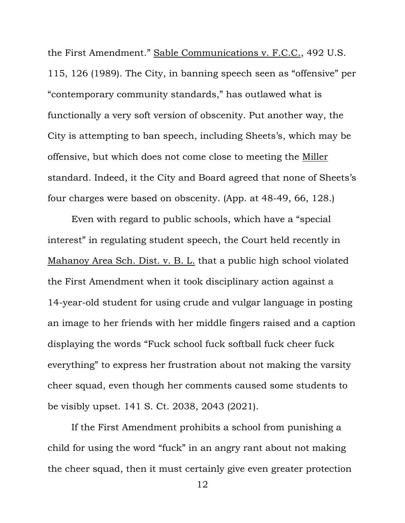the First Amendment." Sable Communications v. F.C.C., 492 U.S. 115, 126 (1989). The City, in banning speech seen as "offensive" per "contemporary community standards," has outlawed what is functionally a very soft version of obscenity. Put another way, the City is attempting to ban speech, including Sheets's, which may be offensive, but which does not come close to meeting the Miller standard. Indeed, it the City and Board agreed that none of Sheets's four charges were based on obscenity. (App. at 48-49, 66, 128.)

Even with regard to public schools, which have a "special interest" in regulating student speech, the Court held recently in Mahanoy Area Sch. Dist. v. B. L. that a public high school violated the First Amendment when it took disciplinary action against a 14-year-old student for using crude and vulgar language in posting an image to her friends with her middle fingers raised and a caption displaying the words "Fuck school fuck softball fuck cheer fuck everything" to express her frustration about not making the varsity cheer squad, even though her comments caused some students to be visibly upset. 141 S. Ct. 2038, 2043 (2021).

If the First Amendment prohibits a school from punishing a child for using the word "fuck" in an angry rant about not making the cheer squad, then it must certainly give even greater protection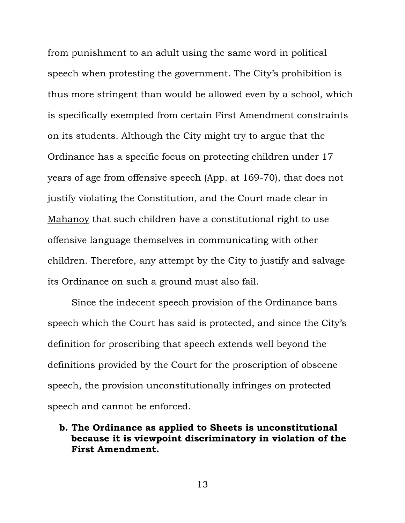from punishment to an adult using the same word in political speech when protesting the government. The City's prohibition is thus more stringent than would be allowed even by a school, which is specifically exempted from certain First Amendment constraints on its students. Although the City might try to argue that the Ordinance has a specific focus on protecting children under 17 years of age from offensive speech (App. at 169-70), that does not justify violating the Constitution, and the Court made clear in Mahanoy that such children have a constitutional right to use offensive language themselves in communicating with other children. Therefore, any attempt by the City to justify and salvage its Ordinance on such a ground must also fail.

Since the indecent speech provision of the Ordinance bans speech which the Court has said is protected, and since the City's definition for proscribing that speech extends well beyond the definitions provided by the Court for the proscription of obscene speech, the provision unconstitutionally infringes on protected speech and cannot be enforced.

### **b. The Ordinance as applied to Sheets is unconstitutional because it is viewpoint discriminatory in violation of the First Amendment.**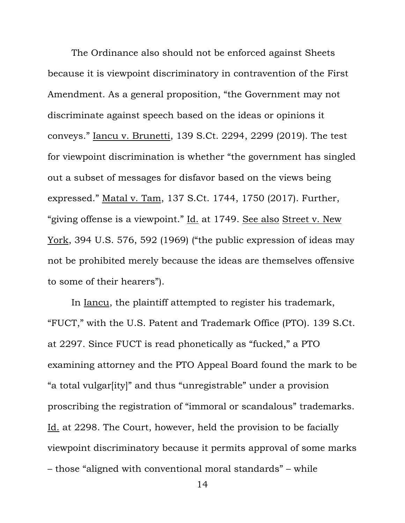The Ordinance also should not be enforced against Sheets because it is viewpoint discriminatory in contravention of the First Amendment. As a general proposition, "the Government may not discriminate against speech based on the ideas or opinions it conveys." Iancu v. Brunetti, 139 S.Ct. 2294, 2299 (2019). The test for viewpoint discrimination is whether "the government has singled out a subset of messages for disfavor based on the views being expressed." Matal v. Tam, 137 S.Ct. 1744, 1750 (2017). Further, "giving offense is a viewpoint." Id. at 1749. See also Street v. New York, 394 U.S. 576, 592 (1969) ("the public expression of ideas may not be prohibited merely because the ideas are themselves offensive to some of their hearers").

In Iancu, the plaintiff attempted to register his trademark, "FUCT," with the U.S. Patent and Trademark Office (PTO). 139 S.Ct. at 2297. Since FUCT is read phonetically as "fucked," a PTO examining attorney and the PTO Appeal Board found the mark to be "a total vulgar[ity]" and thus "unregistrable" under a provision proscribing the registration of "immoral or scandalous" trademarks. Id. at 2298. The Court, however, held the provision to be facially viewpoint discriminatory because it permits approval of some marks – those "aligned with conventional moral standards" – while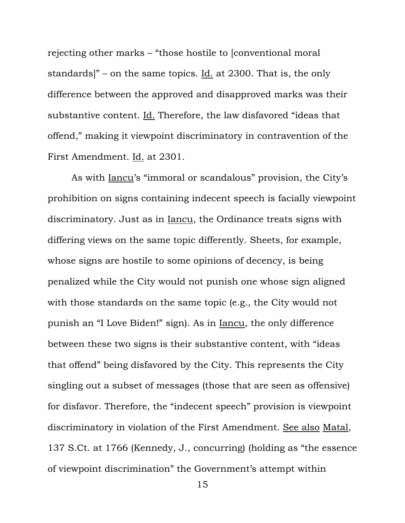rejecting other marks – "those hostile to [conventional moral standards]" – on the same topics. Id. at 2300. That is, the only difference between the approved and disapproved marks was their substantive content. Id. Therefore, the law disfavored "ideas that offend," making it viewpoint discriminatory in contravention of the First Amendment. Id. at 2301.

As with Iancu's "immoral or scandalous" provision, the City's prohibition on signs containing indecent speech is facially viewpoint discriminatory. Just as in Iancu, the Ordinance treats signs with differing views on the same topic differently. Sheets, for example, whose signs are hostile to some opinions of decency, is being penalized while the City would not punish one whose sign aligned with those standards on the same topic (e.g., the City would not punish an "I Love Biden!" sign). As in Iancu, the only difference between these two signs is their substantive content, with "ideas that offend" being disfavored by the City. This represents the City singling out a subset of messages (those that are seen as offensive) for disfavor. Therefore, the "indecent speech" provision is viewpoint discriminatory in violation of the First Amendment. See also Matal, 137 S.Ct. at 1766 (Kennedy, J., concurring) (holding as "the essence of viewpoint discrimination" the Government's attempt within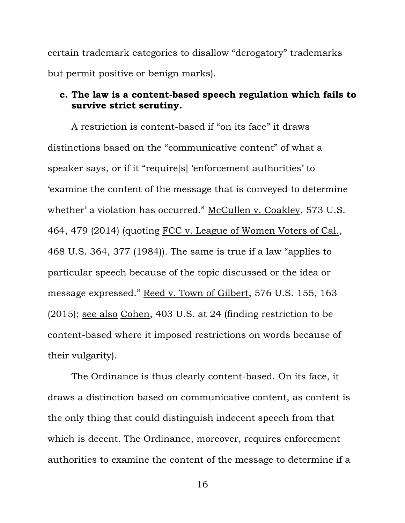certain trademark categories to disallow "derogatory" trademarks but permit positive or benign marks).

#### **c. The law is a content-based speech regulation which fails to survive strict scrutiny.**

A restriction is content-based if "on its face" it draws distinctions based on the "communicative content" of what a speaker says, or if it "require[s] 'enforcement authorities' to 'examine the content of the message that is conveyed to determine whether' a violation has occurred." McCullen v. Coakley, 573 U.S. 464, 479 (2014) (quoting FCC v. League of Women Voters of Cal., 468 U.S. 364, 377 (1984)). The same is true if a law "applies to particular speech because of the topic discussed or the idea or message expressed." Reed v. Town of Gilbert, 576 U.S. 155, 163 (2015); see also Cohen, 403 U.S. at 24 (finding restriction to be content-based where it imposed restrictions on words because of their vulgarity).

The Ordinance is thus clearly content-based. On its face, it draws a distinction based on communicative content, as content is the only thing that could distinguish indecent speech from that which is decent. The Ordinance, moreover, requires enforcement authorities to examine the content of the message to determine if a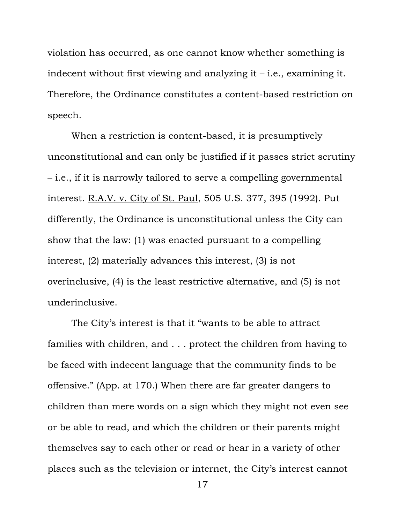violation has occurred, as one cannot know whether something is indecent without first viewing and analyzing it – i.e., examining it. Therefore, the Ordinance constitutes a content-based restriction on speech.

When a restriction is content-based, it is presumptively unconstitutional and can only be justified if it passes strict scrutiny – i.e., if it is narrowly tailored to serve a compelling governmental interest. R.A.V. v. City of St. Paul, 505 U.S. 377, 395 (1992). Put differently, the Ordinance is unconstitutional unless the City can show that the law: (1) was enacted pursuant to a compelling interest, (2) materially advances this interest, (3) is not overinclusive, (4) is the least restrictive alternative, and (5) is not underinclusive.

The City's interest is that it "wants to be able to attract families with children, and . . . protect the children from having to be faced with indecent language that the community finds to be offensive." (App. at 170.) When there are far greater dangers to children than mere words on a sign which they might not even see or be able to read, and which the children or their parents might themselves say to each other or read or hear in a variety of other places such as the television or internet, the City's interest cannot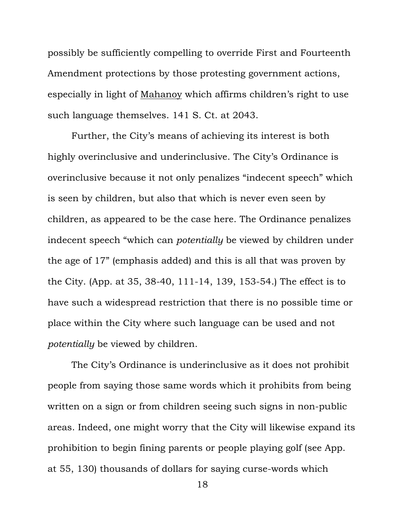possibly be sufficiently compelling to override First and Fourteenth Amendment protections by those protesting government actions, especially in light of Mahanoy which affirms children's right to use such language themselves. 141 S. Ct. at 2043.

Further, the City's means of achieving its interest is both highly overinclusive and underinclusive. The City's Ordinance is overinclusive because it not only penalizes "indecent speech" which is seen by children, but also that which is never even seen by children, as appeared to be the case here. The Ordinance penalizes indecent speech "which can *potentially* be viewed by children under the age of 17" (emphasis added) and this is all that was proven by the City. (App. at 35, 38-40, 111-14, 139, 153-54.) The effect is to have such a widespread restriction that there is no possible time or place within the City where such language can be used and not *potentially* be viewed by children.

The City's Ordinance is underinclusive as it does not prohibit people from saying those same words which it prohibits from being written on a sign or from children seeing such signs in non-public areas. Indeed, one might worry that the City will likewise expand its prohibition to begin fining parents or people playing golf (see App. at 55, 130) thousands of dollars for saying curse-words which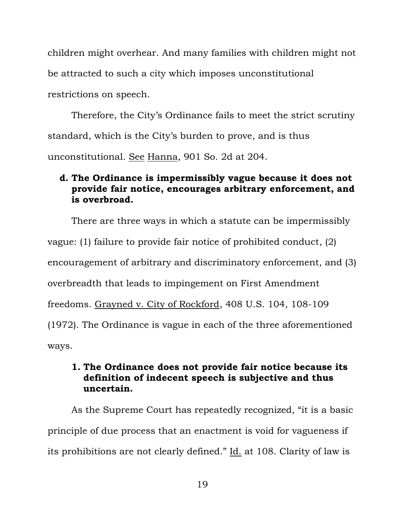children might overhear. And many families with children might not be attracted to such a city which imposes unconstitutional restrictions on speech.

Therefore, the City's Ordinance fails to meet the strict scrutiny standard, which is the City's burden to prove, and is thus unconstitutional. See Hanna, 901 So. 2d at 204.

## **d. The Ordinance is impermissibly vague because it does not provide fair notice, encourages arbitrary enforcement, and is overbroad.**

There are three ways in which a statute can be impermissibly vague: (1) failure to provide fair notice of prohibited conduct, (2) encouragement of arbitrary and discriminatory enforcement, and (3) overbreadth that leads to impingement on First Amendment freedoms. Grayned v. City of Rockford, 408 U.S. 104, 108-109 (1972). The Ordinance is vague in each of the three aforementioned ways.

## **1. The Ordinance does not provide fair notice because its definition of indecent speech is subjective and thus uncertain.**

As the Supreme Court has repeatedly recognized, "it is a basic principle of due process that an enactment is void for vagueness if its prohibitions are not clearly defined." Id. at 108. Clarity of law is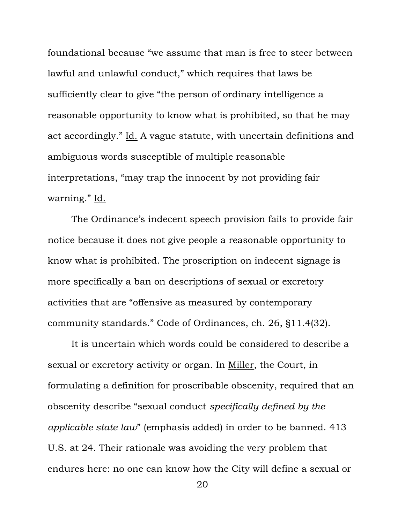foundational because "we assume that man is free to steer between lawful and unlawful conduct," which requires that laws be sufficiently clear to give "the person of ordinary intelligence a reasonable opportunity to know what is prohibited, so that he may act accordingly." Id. A vague statute, with uncertain definitions and ambiguous words susceptible of multiple reasonable interpretations, "may trap the innocent by not providing fair warning." Id.

The Ordinance's indecent speech provision fails to provide fair notice because it does not give people a reasonable opportunity to know what is prohibited. The proscription on indecent signage is more specifically a ban on descriptions of sexual or excretory activities that are "offensive as measured by contemporary community standards." Code of Ordinances, ch. 26, §11.4(32).

It is uncertain which words could be considered to describe a sexual or excretory activity or organ. In Miller, the Court, in formulating a definition for proscribable obscenity, required that an obscenity describe "sexual conduct *specifically defined by the applicable state law*" (emphasis added) in order to be banned. 413 U.S. at 24. Their rationale was avoiding the very problem that endures here: no one can know how the City will define a sexual or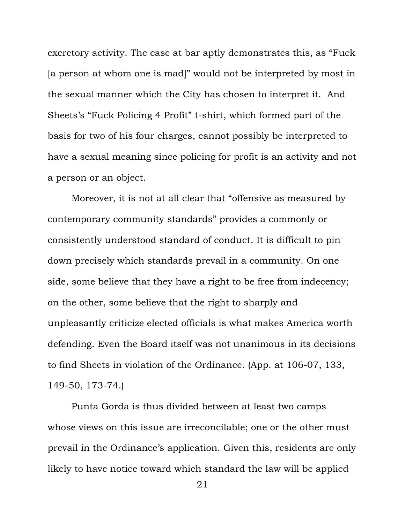excretory activity. The case at bar aptly demonstrates this, as "Fuck [a person at whom one is mad]" would not be interpreted by most in the sexual manner which the City has chosen to interpret it. And Sheets's "Fuck Policing 4 Profit" t-shirt, which formed part of the basis for two of his four charges, cannot possibly be interpreted to have a sexual meaning since policing for profit is an activity and not a person or an object.

Moreover, it is not at all clear that "offensive as measured by contemporary community standards" provides a commonly or consistently understood standard of conduct. It is difficult to pin down precisely which standards prevail in a community. On one side, some believe that they have a right to be free from indecency; on the other, some believe that the right to sharply and unpleasantly criticize elected officials is what makes America worth defending. Even the Board itself was not unanimous in its decisions to find Sheets in violation of the Ordinance. (App. at 106-07, 133, 149-50, 173-74.)

Punta Gorda is thus divided between at least two camps whose views on this issue are irreconcilable; one or the other must prevail in the Ordinance's application. Given this, residents are only likely to have notice toward which standard the law will be applied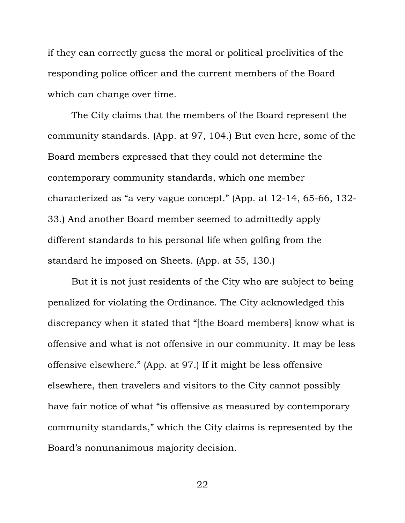if they can correctly guess the moral or political proclivities of the responding police officer and the current members of the Board which can change over time.

The City claims that the members of the Board represent the community standards. (App. at 97, 104.) But even here, some of the Board members expressed that they could not determine the contemporary community standards, which one member characterized as "a very vague concept." (App. at 12-14, 65-66, 132- 33.) And another Board member seemed to admittedly apply different standards to his personal life when golfing from the standard he imposed on Sheets. (App. at 55, 130.)

But it is not just residents of the City who are subject to being penalized for violating the Ordinance. The City acknowledged this discrepancy when it stated that "[the Board members] know what is offensive and what is not offensive in our community. It may be less offensive elsewhere." (App. at 97.) If it might be less offensive elsewhere, then travelers and visitors to the City cannot possibly have fair notice of what "is offensive as measured by contemporary community standards," which the City claims is represented by the Board's nonunanimous majority decision.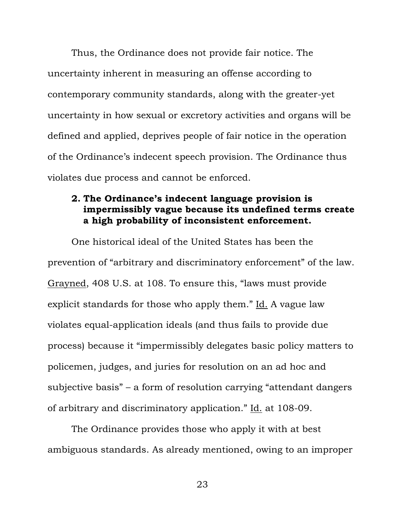Thus, the Ordinance does not provide fair notice. The uncertainty inherent in measuring an offense according to contemporary community standards, along with the greater-yet uncertainty in how sexual or excretory activities and organs will be defined and applied, deprives people of fair notice in the operation of the Ordinance's indecent speech provision. The Ordinance thus violates due process and cannot be enforced.

#### **2. The Ordinance's indecent language provision is impermissibly vague because its undefined terms create a high probability of inconsistent enforcement.**

One historical ideal of the United States has been the prevention of "arbitrary and discriminatory enforcement" of the law. Grayned, 408 U.S. at 108. To ensure this, "laws must provide explicit standards for those who apply them." Id. A vague law violates equal-application ideals (and thus fails to provide due process) because it "impermissibly delegates basic policy matters to policemen, judges, and juries for resolution on an ad hoc and subjective basis" – a form of resolution carrying "attendant dangers of arbitrary and discriminatory application." Id. at 108-09.

The Ordinance provides those who apply it with at best ambiguous standards. As already mentioned, owing to an improper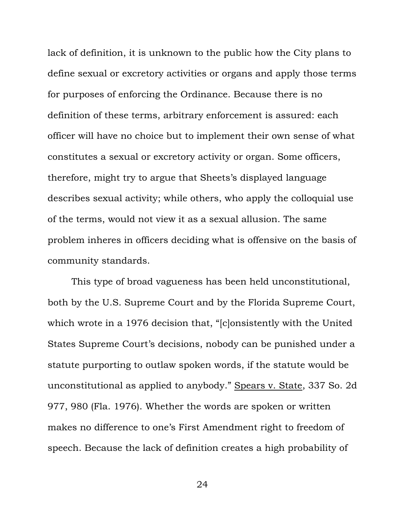lack of definition, it is unknown to the public how the City plans to define sexual or excretory activities or organs and apply those terms for purposes of enforcing the Ordinance. Because there is no definition of these terms, arbitrary enforcement is assured: each officer will have no choice but to implement their own sense of what constitutes a sexual or excretory activity or organ. Some officers, therefore, might try to argue that Sheets's displayed language describes sexual activity; while others, who apply the colloquial use of the terms, would not view it as a sexual allusion. The same problem inheres in officers deciding what is offensive on the basis of community standards.

This type of broad vagueness has been held unconstitutional, both by the U.S. Supreme Court and by the Florida Supreme Court, which wrote in a 1976 decision that, "[c]onsistently with the United States Supreme Court's decisions, nobody can be punished under a statute purporting to outlaw spoken words, if the statute would be unconstitutional as applied to anybody." Spears v. State, 337 So. 2d 977, 980 (Fla. 1976). Whether the words are spoken or written makes no difference to one's First Amendment right to freedom of speech. Because the lack of definition creates a high probability of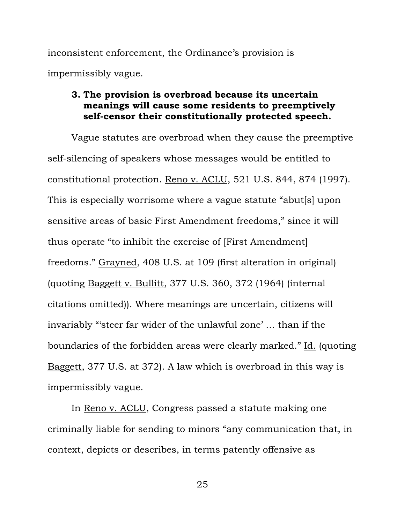inconsistent enforcement, the Ordinance's provision is impermissibly vague.

### **3. The provision is overbroad because its uncertain meanings will cause some residents to preemptively self-censor their constitutionally protected speech.**

Vague statutes are overbroad when they cause the preemptive self-silencing of speakers whose messages would be entitled to constitutional protection. Reno v. ACLU, 521 U.S. 844, 874 (1997). This is especially worrisome where a vague statute "abut[s] upon sensitive areas of basic First Amendment freedoms," since it will thus operate "to inhibit the exercise of [First Amendment] freedoms." Grayned, 408 U.S. at 109 (first alteration in original) (quoting Baggett v. Bullitt, 377 U.S. 360, 372 (1964) (internal citations omitted)). Where meanings are uncertain, citizens will invariably "'steer far wider of the unlawful zone' … than if the boundaries of the forbidden areas were clearly marked." Id. (quoting Baggett, 377 U.S. at 372). A law which is overbroad in this way is impermissibly vague.

In Reno v. ACLU, Congress passed a statute making one criminally liable for sending to minors "any communication that, in context, depicts or describes, in terms patently offensive as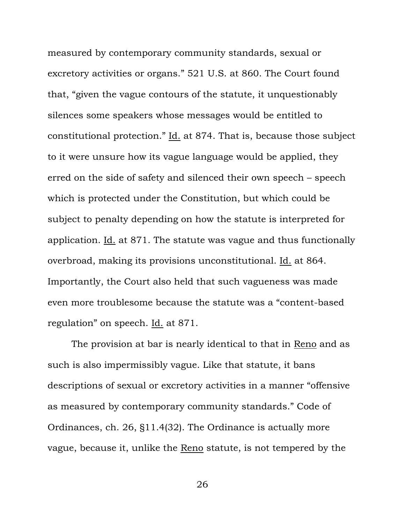measured by contemporary community standards, sexual or excretory activities or organs." 521 U.S. at 860. The Court found that, "given the vague contours of the statute, it unquestionably silences some speakers whose messages would be entitled to constitutional protection." Id. at 874. That is, because those subject to it were unsure how its vague language would be applied, they erred on the side of safety and silenced their own speech – speech which is protected under the Constitution, but which could be subject to penalty depending on how the statute is interpreted for application. Id. at 871. The statute was vague and thus functionally overbroad, making its provisions unconstitutional. Id. at 864. Importantly, the Court also held that such vagueness was made even more troublesome because the statute was a "content-based regulation" on speech. Id. at 871.

The provision at bar is nearly identical to that in Reno and as such is also impermissibly vague. Like that statute, it bans descriptions of sexual or excretory activities in a manner "offensive as measured by contemporary community standards." Code of Ordinances, ch. 26, §11.4(32). The Ordinance is actually more vague, because it, unlike the Reno statute, is not tempered by the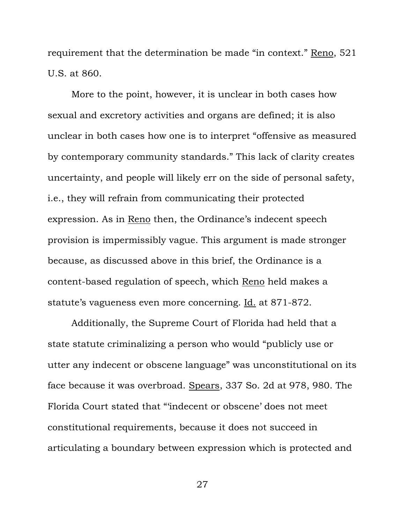requirement that the determination be made "in context." Reno, 521 U.S. at 860.

More to the point, however, it is unclear in both cases how sexual and excretory activities and organs are defined; it is also unclear in both cases how one is to interpret "offensive as measured by contemporary community standards." This lack of clarity creates uncertainty, and people will likely err on the side of personal safety, i.e., they will refrain from communicating their protected expression. As in Reno then, the Ordinance's indecent speech provision is impermissibly vague. This argument is made stronger because, as discussed above in this brief, the Ordinance is a content-based regulation of speech, which Reno held makes a statute's vagueness even more concerning. Id. at 871-872.

Additionally, the Supreme Court of Florida had held that a state statute criminalizing a person who would "publicly use or utter any indecent or obscene language" was unconstitutional on its face because it was overbroad. Spears, 337 So. 2d at 978, 980. The Florida Court stated that "'indecent or obscene' does not meet constitutional requirements, because it does not succeed in articulating a boundary between expression which is protected and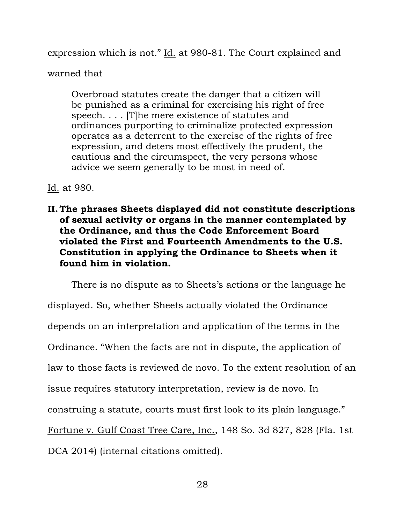expression which is not." Id. at 980-81. The Court explained and

warned that

Overbroad statutes create the danger that a citizen will be punished as a criminal for exercising his right of free speech. . . . [T]he mere existence of statutes and ordinances purporting to criminalize protected expression operates as a deterrent to the exercise of the rights of free expression, and deters most effectively the prudent, the cautious and the circumspect, the very persons whose advice we seem generally to be most in need of.

Id. at 980.

**II. The phrases Sheets displayed did not constitute descriptions of sexual activity or organs in the manner contemplated by the Ordinance, and thus the Code Enforcement Board violated the First and Fourteenth Amendments to the U.S. Constitution in applying the Ordinance to Sheets when it found him in violation.**

There is no dispute as to Sheets's actions or the language he displayed. So, whether Sheets actually violated the Ordinance depends on an interpretation and application of the terms in the Ordinance. "When the facts are not in dispute, the application of law to those facts is reviewed de novo. To the extent resolution of an issue requires statutory interpretation, review is de novo. In construing a statute, courts must first look to its plain language." Fortune v. Gulf Coast Tree Care, Inc., 148 So. 3d 827, 828 (Fla. 1st DCA 2014) (internal citations omitted).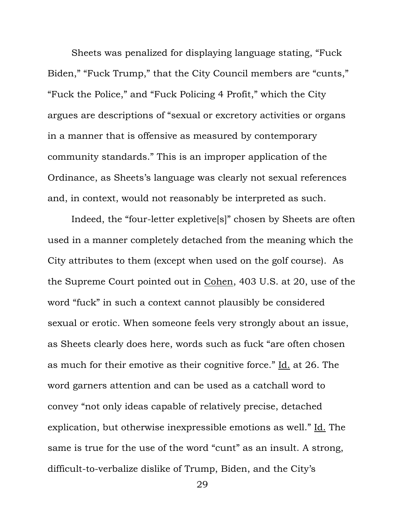Sheets was penalized for displaying language stating, "Fuck Biden," "Fuck Trump," that the City Council members are "cunts," "Fuck the Police," and "Fuck Policing 4 Profit," which the City argues are descriptions of "sexual or excretory activities or organs in a manner that is offensive as measured by contemporary community standards." This is an improper application of the Ordinance, as Sheets's language was clearly not sexual references and, in context, would not reasonably be interpreted as such.

Indeed, the "four-letter expletive[s]" chosen by Sheets are often used in a manner completely detached from the meaning which the City attributes to them (except when used on the golf course). As the Supreme Court pointed out in Cohen, 403 U.S. at 20, use of the word "fuck" in such a context cannot plausibly be considered sexual or erotic. When someone feels very strongly about an issue, as Sheets clearly does here, words such as fuck "are often chosen as much for their emotive as their cognitive force." Id. at 26. The word garners attention and can be used as a catchall word to convey "not only ideas capable of relatively precise, detached explication, but otherwise inexpressible emotions as well." Id. The same is true for the use of the word "cunt" as an insult. A strong, difficult-to-verbalize dislike of Trump, Biden, and the City's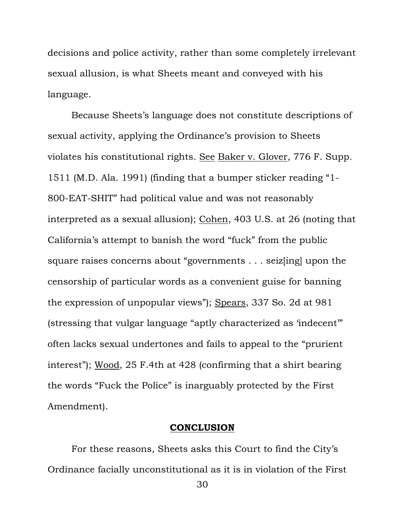decisions and police activity, rather than some completely irrelevant sexual allusion, is what Sheets meant and conveyed with his language.

Because Sheets's language does not constitute descriptions of sexual activity, applying the Ordinance's provision to Sheets violates his constitutional rights. See Baker v. Glover, 776 F. Supp. 1511 (M.D. Ala. 1991) (finding that a bumper sticker reading "1- 800-EAT-SHIT" had political value and was not reasonably interpreted as a sexual allusion); Cohen, 403 U.S. at 26 (noting that California's attempt to banish the word "fuck" from the public square raises concerns about "governments . . . seiz[ing] upon the censorship of particular words as a convenient guise for banning the expression of unpopular views"); Spears, 337 So. 2d at 981 (stressing that vulgar language "aptly characterized as 'indecent'" often lacks sexual undertones and fails to appeal to the "prurient interest"); Wood, 25 F.4th at 428 (confirming that a shirt bearing the words "Fuck the Police" is inarguably protected by the First Amendment).

#### **CONCLUSION**

For these reasons, Sheets asks this Court to find the City's Ordinance facially unconstitutional as it is in violation of the First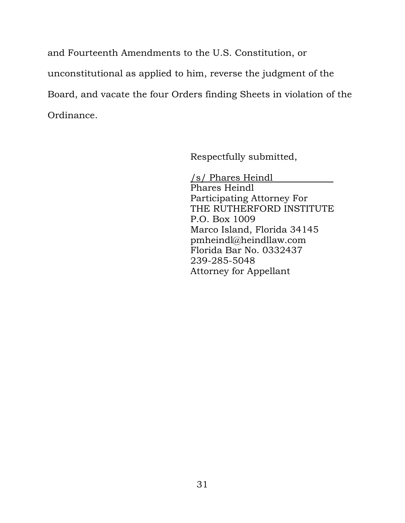and Fourteenth Amendments to the U.S. Constitution, or unconstitutional as applied to him, reverse the judgment of the Board, and vacate the four Orders finding Sheets in violation of the Ordinance.

Respectfully submitted,

/s/ Phares Heindl Phares Heindl Participating Attorney For THE RUTHERFORD INSTITUTE P.O. Box 1009 Marco Island, Florida 34145 pmheindl@heindllaw.com Florida Bar No. 0332437 239-285-5048 Attorney for Appellant